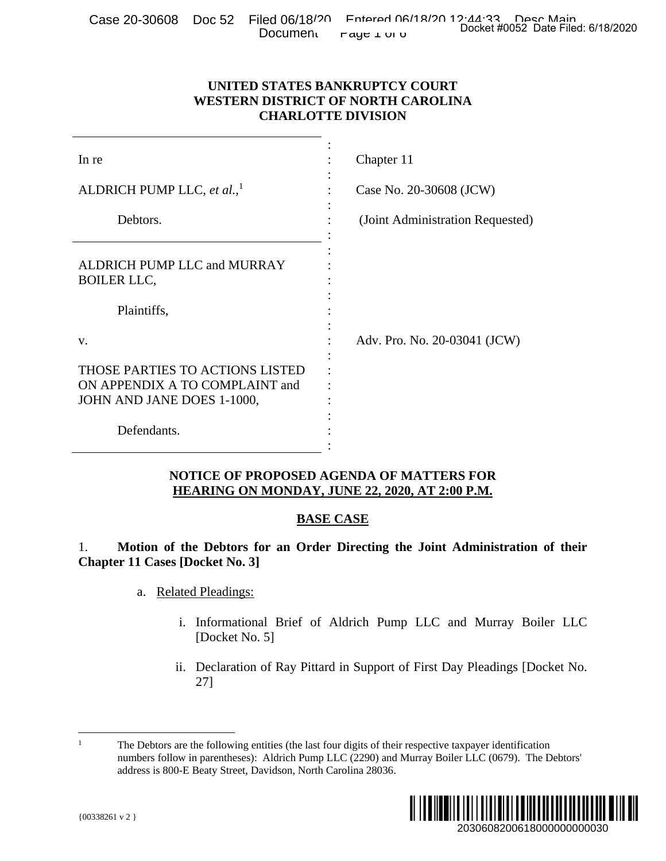|  |  |                                                                                                |  | . Case 20-30608 Doc 52 Filed 06/18/20 Entered 06/18/20 12:44:33 Peec Main<br>Docket #0052 Date Filed: 6/18/2020 |
|--|--|------------------------------------------------------------------------------------------------|--|-----------------------------------------------------------------------------------------------------------------|
|  |  | Document $\mathsf{r}_{\mathsf{a}\mathsf{y}\mathsf{c}\mathsf{1}\mathsf{u}\mathsf{u}\mathsf{v}}$ |  |                                                                                                                 |

## **UNITED STATES BANKRUPTCY COURT WESTERN DISTRICT OF NORTH CAROLINA CHARLOTTE DIVISION**

| <b>Document</b>                                                                                 | Docket #0052 Date Filed: 6/18/2020<br>raye 1 UI U                                                                                                                                                              |  |  |  |
|-------------------------------------------------------------------------------------------------|----------------------------------------------------------------------------------------------------------------------------------------------------------------------------------------------------------------|--|--|--|
|                                                                                                 | UNITED STATES BANKRUPTCY COURT<br><b>WESTERN DISTRICT OF NORTH CAROLINA</b><br><b>CHARLOTTE DIVISION</b>                                                                                                       |  |  |  |
| In re                                                                                           | Chapter 11                                                                                                                                                                                                     |  |  |  |
| ALDRICH PUMP LLC, et al., <sup>1</sup>                                                          | Case No. 20-30608 (JCW)                                                                                                                                                                                        |  |  |  |
| Debtors.                                                                                        | (Joint Administration Requested)                                                                                                                                                                               |  |  |  |
| ALDRICH PUMP LLC and MURRAY<br><b>BOILER LLC,</b>                                               |                                                                                                                                                                                                                |  |  |  |
| Plaintiffs,                                                                                     |                                                                                                                                                                                                                |  |  |  |
| v.                                                                                              | Adv. Pro. No. 20-03041 (JCW)                                                                                                                                                                                   |  |  |  |
| THOSE PARTIES TO ACTIONS LISTED<br>ON APPENDIX A TO COMPLAINT and<br>JOHN AND JANE DOES 1-1000, |                                                                                                                                                                                                                |  |  |  |
| Defendants.                                                                                     |                                                                                                                                                                                                                |  |  |  |
|                                                                                                 | NOTICE OF PROPOSED AGENDA OF MATTERS FOR<br>HEARING ON MONDAY, JUNE 22, 2020, AT 2:00 P.M.                                                                                                                     |  |  |  |
|                                                                                                 | <b>BASE CASE</b>                                                                                                                                                                                               |  |  |  |
| 1.<br><b>Chapter 11 Cases [Docket No. 3]</b>                                                    | Motion of the Debtors for an Order Directing the Joint Administration of their                                                                                                                                 |  |  |  |
| <b>Related Pleadings:</b><br>a.                                                                 |                                                                                                                                                                                                                |  |  |  |
| i.<br>[Docket No. 5]                                                                            | Informational Brief of Aldrich Pump LLC and Murray Boiler LLC                                                                                                                                                  |  |  |  |
| $\overline{11}$ .<br>27]                                                                        | Declaration of Ray Pittard in Support of First Day Pleadings [Docket No.                                                                                                                                       |  |  |  |
| 1<br>address is 800-E Beaty Street, Davidson, North Carolina 28036.                             | The Debtors are the following entities (the last four digits of their respective taxpayer identification<br>numbers follow in parentheses): Aldrich Pump LLC (2290) and Murray Boiler LLC (0679). The Debtors' |  |  |  |
| ${00338261 v 2}$                                                                                | 2030608200618000000000030                                                                                                                                                                                      |  |  |  |

#### **NOTICE OF PROPOSED AGENDA OF MATTERS FOR HEARING ON MONDAY, JUNE 22, 2020, AT 2:00 P.M.**

# **BASE CASE**

- a. Related Pleadings:
	- i. Informational Brief of Aldrich Pump LLC and Murray Boiler LLC [Docket No. 5]
	- ii. Declaration of Ray Pittard in Support of First Day Pleadings [Docket No. 27]

<sup>1</sup> 1 The Debtors are the following entities (the last four digits of their respective taxpayer identification numbers follow in parentheses): Aldrich Pump LLC (2290) and Murray Boiler LLC (0679). The Debtors' address is 800-E Beaty Street, Davidson, North Carolina 28036.

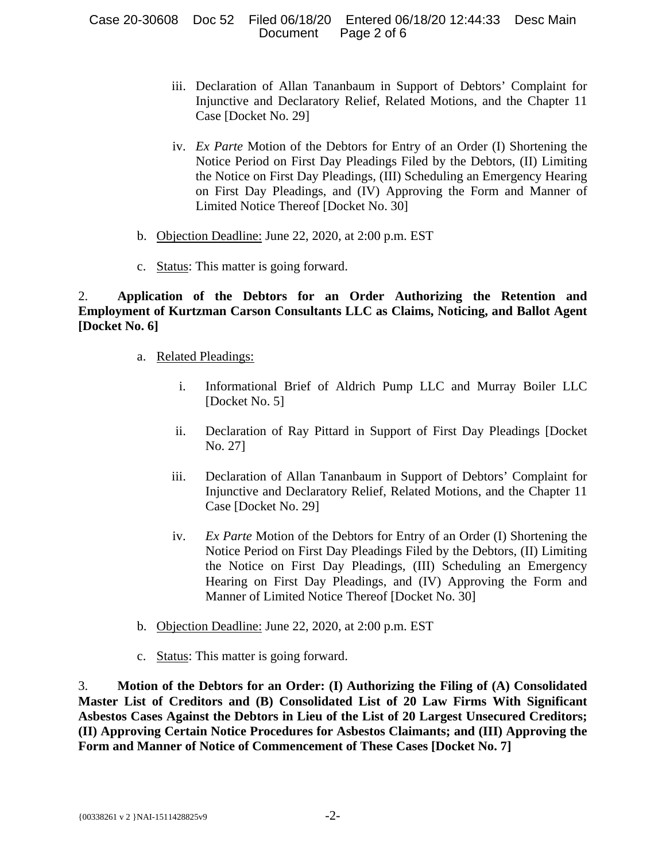Case 20-30608 Doc 52 Filed 06/18/20 Entered 06/18/20 12:44:33 Desc Main Document Page 2 of 6

- iii. Declaration of Allan Tananbaum in Support of Debtors' Complaint for Injunctive and Declaratory Relief, Related Motions, and the Chapter 11 Case [Docket No. 29]
- iv. *Ex Parte* Motion of the Debtors for Entry of an Order (I) Shortening the Notice Period on First Day Pleadings Filed by the Debtors, (II) Limiting the Notice on First Day Pleadings, (III) Scheduling an Emergency Hearing on First Day Pleadings, and (IV) Approving the Form and Manner of Limited Notice Thereof [Docket No. 30]
- b. Objection Deadline: June 22, 2020, at 2:00 p.m. EST
- c. Status: This matter is going forward.

2. **Application of the Debtors for an Order Authorizing the Retention and Employment of Kurtzman Carson Consultants LLC as Claims, Noticing, and Ballot Agent [Docket No. 6]**

- a. Related Pleadings:
	- i. Informational Brief of Aldrich Pump LLC and Murray Boiler LLC [Docket No. 5]
	- ii. Declaration of Ray Pittard in Support of First Day Pleadings [Docket No. 27]
	- iii. Declaration of Allan Tananbaum in Support of Debtors' Complaint for Injunctive and Declaratory Relief, Related Motions, and the Chapter 11 Case [Docket No. 29]
	- iv. *Ex Parte* Motion of the Debtors for Entry of an Order (I) Shortening the Notice Period on First Day Pleadings Filed by the Debtors, (II) Limiting the Notice on First Day Pleadings, (III) Scheduling an Emergency Hearing on First Day Pleadings, and (IV) Approving the Form and Manner of Limited Notice Thereof [Docket No. 30]
- b. Objection Deadline: June 22, 2020, at 2:00 p.m. EST
- c. Status: This matter is going forward.

3. **Motion of the Debtors for an Order: (I) Authorizing the Filing of (A) Consolidated Master List of Creditors and (B) Consolidated List of 20 Law Firms With Significant Asbestos Cases Against the Debtors in Lieu of the List of 20 Largest Unsecured Creditors; (II) Approving Certain Notice Procedures for Asbestos Claimants; and (III) Approving the Form and Manner of Notice of Commencement of These Cases [Docket No. 7]**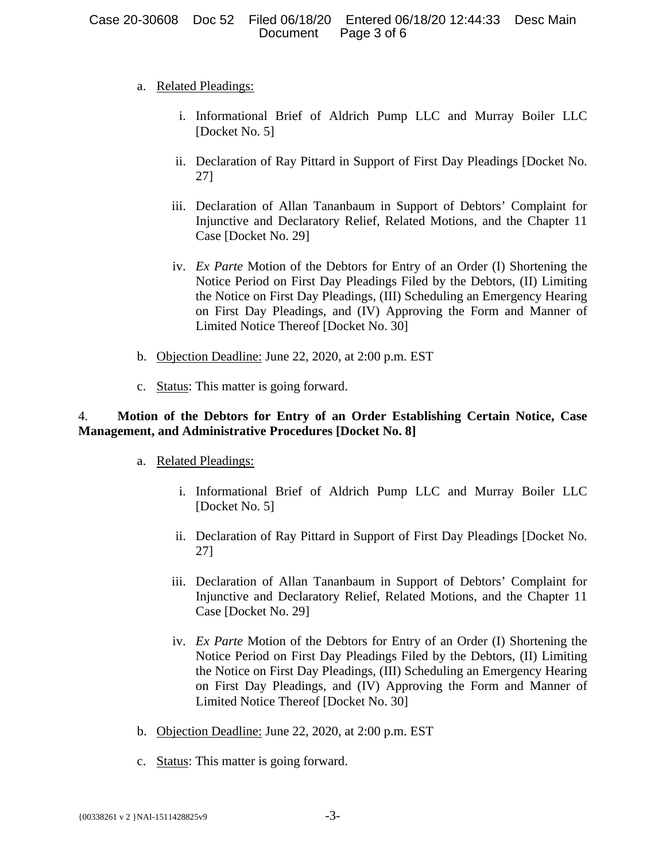### a. Related Pleadings:

- i. Informational Brief of Aldrich Pump LLC and Murray Boiler LLC [Docket No. 5]
- ii. Declaration of Ray Pittard in Support of First Day Pleadings [Docket No. 27]
- iii. Declaration of Allan Tananbaum in Support of Debtors' Complaint for Injunctive and Declaratory Relief, Related Motions, and the Chapter 11 Case [Docket No. 29]
- iv. *Ex Parte* Motion of the Debtors for Entry of an Order (I) Shortening the Notice Period on First Day Pleadings Filed by the Debtors, (II) Limiting the Notice on First Day Pleadings, (III) Scheduling an Emergency Hearing on First Day Pleadings, and (IV) Approving the Form and Manner of Limited Notice Thereof [Docket No. 30]
- b. Objection Deadline: June 22, 2020, at 2:00 p.m. EST
- c. Status: This matter is going forward.

## 4. **Motion of the Debtors for Entry of an Order Establishing Certain Notice, Case Management, and Administrative Procedures [Docket No. 8]**

- a. Related Pleadings:
	- i. Informational Brief of Aldrich Pump LLC and Murray Boiler LLC [Docket No. 5]
	- ii. Declaration of Ray Pittard in Support of First Day Pleadings [Docket No. 27]
	- iii. Declaration of Allan Tananbaum in Support of Debtors' Complaint for Injunctive and Declaratory Relief, Related Motions, and the Chapter 11 Case [Docket No. 29]
	- iv. *Ex Parte* Motion of the Debtors for Entry of an Order (I) Shortening the Notice Period on First Day Pleadings Filed by the Debtors, (II) Limiting the Notice on First Day Pleadings, (III) Scheduling an Emergency Hearing on First Day Pleadings, and (IV) Approving the Form and Manner of Limited Notice Thereof [Docket No. 30]
- b. Objection Deadline: June 22, 2020, at 2:00 p.m. EST
- c. Status: This matter is going forward.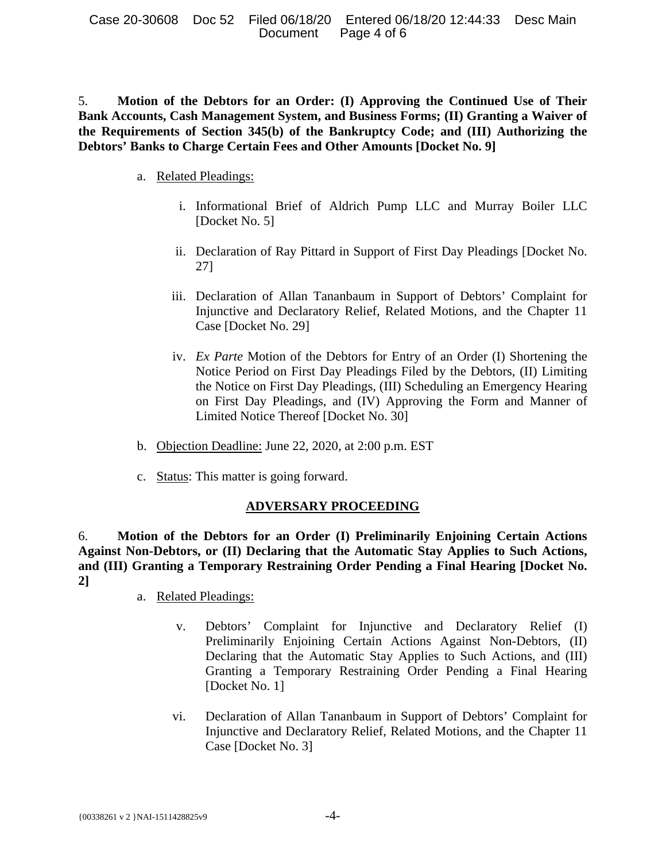Case 20-30608 Doc 52 Filed 06/18/20 Entered 06/18/20 12:44:33 Desc Main Document Page 4 of 6

5. **Motion of the Debtors for an Order: (I) Approving the Continued Use of Their Bank Accounts, Cash Management System, and Business Forms; (II) Granting a Waiver of the Requirements of Section 345(b) of the Bankruptcy Code; and (III) Authorizing the Debtors' Banks to Charge Certain Fees and Other Amounts [Docket No. 9]**

- a. Related Pleadings:
	- i. Informational Brief of Aldrich Pump LLC and Murray Boiler LLC [Docket No. 5]
	- ii. Declaration of Ray Pittard in Support of First Day Pleadings [Docket No. 27]
	- iii. Declaration of Allan Tananbaum in Support of Debtors' Complaint for Injunctive and Declaratory Relief, Related Motions, and the Chapter 11 Case [Docket No. 29]
	- iv. *Ex Parte* Motion of the Debtors for Entry of an Order (I) Shortening the Notice Period on First Day Pleadings Filed by the Debtors, (II) Limiting the Notice on First Day Pleadings, (III) Scheduling an Emergency Hearing on First Day Pleadings, and (IV) Approving the Form and Manner of Limited Notice Thereof [Docket No. 30]
- b. Objection Deadline: June 22, 2020, at 2:00 p.m. EST
- c. Status: This matter is going forward.

#### **ADVERSARY PROCEEDING**

6. **Motion of the Debtors for an Order (I) Preliminarily Enjoining Certain Actions Against Non-Debtors, or (II) Declaring that the Automatic Stay Applies to Such Actions, and (III) Granting a Temporary Restraining Order Pending a Final Hearing [Docket No. 2]**

- a. Related Pleadings:
	- v. Debtors' Complaint for Injunctive and Declaratory Relief (I) Preliminarily Enjoining Certain Actions Against Non-Debtors, (II) Declaring that the Automatic Stay Applies to Such Actions, and (III) Granting a Temporary Restraining Order Pending a Final Hearing [Docket No. 1]
	- vi. Declaration of Allan Tananbaum in Support of Debtors' Complaint for Injunctive and Declaratory Relief, Related Motions, and the Chapter 11 Case [Docket No. 3]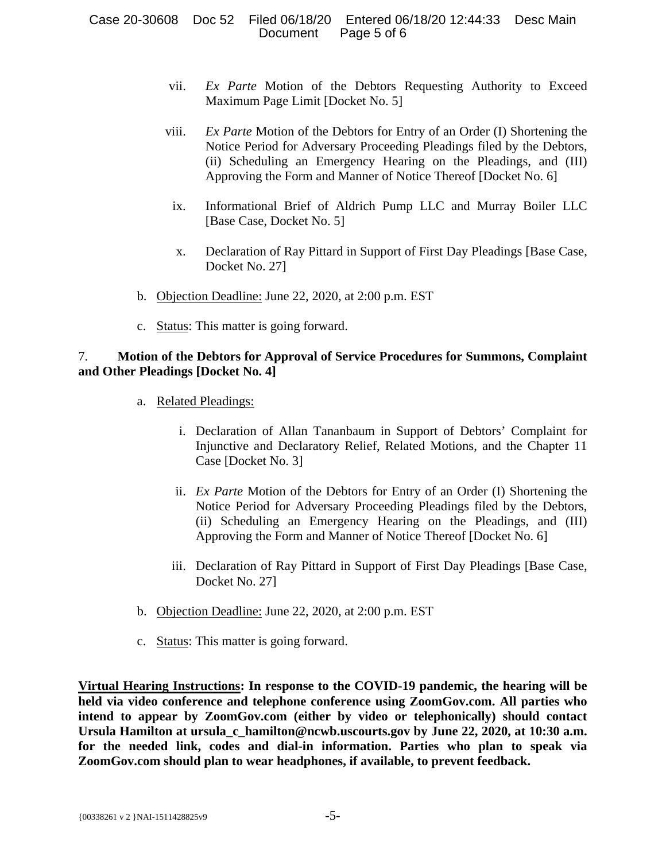#### Case 20-30608 Doc 52 Filed 06/18/20 Entered 06/18/20 12:44:33 Desc Main Document Page 5 of 6

- vii. *Ex Parte* Motion of the Debtors Requesting Authority to Exceed Maximum Page Limit [Docket No. 5]
- viii. *Ex Parte* Motion of the Debtors for Entry of an Order (I) Shortening the Notice Period for Adversary Proceeding Pleadings filed by the Debtors, (ii) Scheduling an Emergency Hearing on the Pleadings, and (III) Approving the Form and Manner of Notice Thereof [Docket No. 6]
- ix. Informational Brief of Aldrich Pump LLC and Murray Boiler LLC [Base Case, Docket No. 5]
- x. Declaration of Ray Pittard in Support of First Day Pleadings [Base Case, Docket No. 27]
- b. Objection Deadline: June 22, 2020, at 2:00 p.m. EST
- c. Status: This matter is going forward.

## 7. **Motion of the Debtors for Approval of Service Procedures for Summons, Complaint and Other Pleadings [Docket No. 4]**

- a. Related Pleadings:
	- i. Declaration of Allan Tananbaum in Support of Debtors' Complaint for Injunctive and Declaratory Relief, Related Motions, and the Chapter 11 Case [Docket No. 3]
	- ii. *Ex Parte* Motion of the Debtors for Entry of an Order (I) Shortening the Notice Period for Adversary Proceeding Pleadings filed by the Debtors, (ii) Scheduling an Emergency Hearing on the Pleadings, and (III) Approving the Form and Manner of Notice Thereof [Docket No. 6]
	- iii. Declaration of Ray Pittard in Support of First Day Pleadings [Base Case, Docket No. 27]
- b. Objection Deadline: June 22, 2020, at 2:00 p.m. EST
- c. Status: This matter is going forward.

**Virtual Hearing Instructions: In response to the COVID-19 pandemic, the hearing will be held via video conference and telephone conference using ZoomGov.com. All parties who intend to appear by ZoomGov.com (either by video or telephonically) should contact**  Ursula Hamilton at ursula c hamilton@ncwb.uscourts.gov by June 22, 2020, at 10:30 a.m. **for the needed link, codes and dial-in information. Parties who plan to speak via ZoomGov.com should plan to wear headphones, if available, to prevent feedback.**